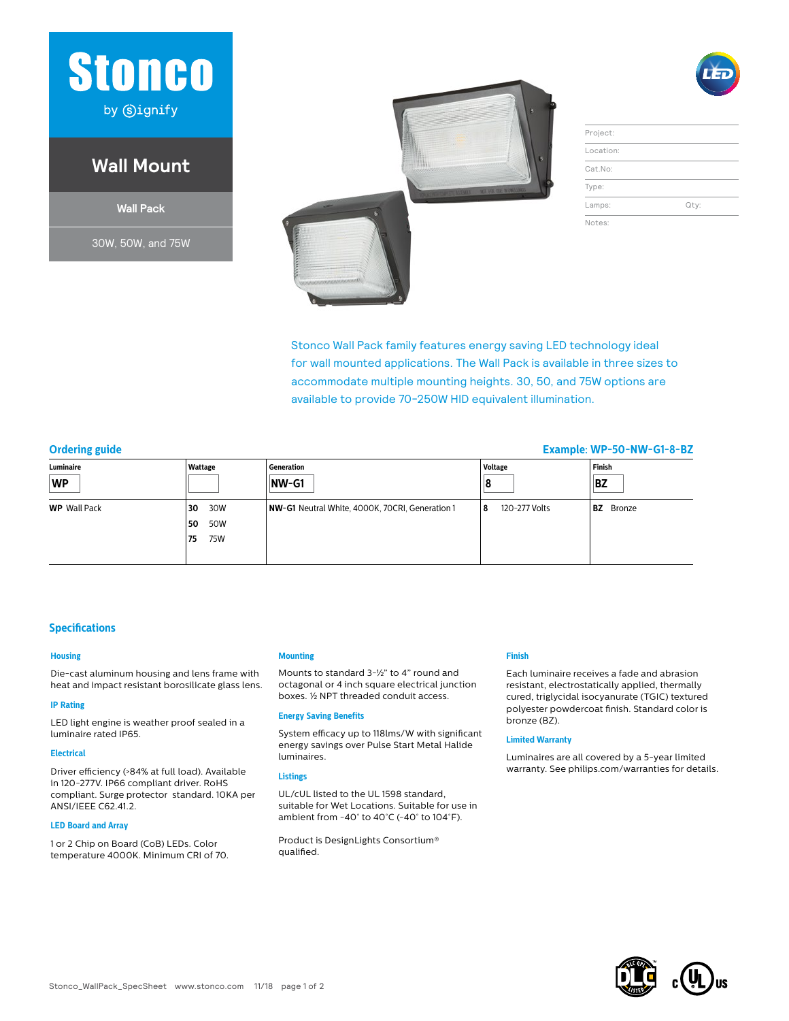

## **Wall Mount**

**Wall Pack**

30W, 50W, and 75W



| Project:  |      |
|-----------|------|
| Location: |      |
| Cat.No:   |      |
| Type:     |      |
| Lamps:    | Qty: |

Notes:

Stonco Wall Pack family features energy saving LED technology ideal for wall mounted applications. The Wall Pack is available in three sizes to accommodate multiple mounting heights. 30, 50, and 75W options are available to provide 70-250W HID equivalent illumination.

## **Ordering guide Example: WP-50-NW-G1-8-BZ**

| Luminaire<br><b>WP</b> | Wattage   | Generation                                      | Voltage             | Finish           |
|------------------------|-----------|-------------------------------------------------|---------------------|------------------|
|                        |           | NW-G1                                           |                     | BZ               |
| <b>WP</b> Wall Pack    | 30W<br>30 | NW-G1 Neutral White, 4000K, 70CRI, Generation 1 | 120-277 Volts<br>18 | <b>BZ</b> Bronze |
|                        | 50W<br>50 |                                                 |                     |                  |
|                        | 75W<br>75 |                                                 |                     |                  |
|                        |           |                                                 |                     |                  |

### **Specifications**

#### **Housing**

Die-cast aluminum housing and lens frame with heat and impact resistant borosilicate glass lens.

#### **IP Rating**

LED light engine is weather proof sealed in a luminaire rated IP65.

#### **Electrical**

Driver efficiency (>84% at full load). Available in 120-277V. IP66 compliant driver. RoHS compliant. Surge protector standard. 10KA per ANSI/IEEE C62.41.2.

#### **LED Board and Array**

1 or 2 Chip on Board (CoB) LEDs. Color temperature 4000K. Minimum CRI of 70.

#### **Mounting**

Mounts to standard 3-½" to 4" round and octagonal or 4 inch square electrical junction boxes. ½ NPT threaded conduit access.

#### **Energy Saving Benefits**

System efficacy up to 118lms/W with significant energy savings over Pulse Start Metal Halide luminaires.

#### **Listings**

UL/cUL listed to the UL 1598 standard, suitable for Wet Locations. Suitable for use in ambient from -40° to 40°C (-40° to 104°F).

Product is DesignLights Consortium® qualified.

#### **Finish**

Each luminaire receives a fade and abrasion resistant, electrostatically applied, thermally cured, triglycidal isocyanurate (TGIC) textured polyester powdercoat finish. Standard color is bronze (BZ).

#### **Limited Warranty**

Luminaires are all covered by a 5-year limited warranty. See philips.com/warranties for details.